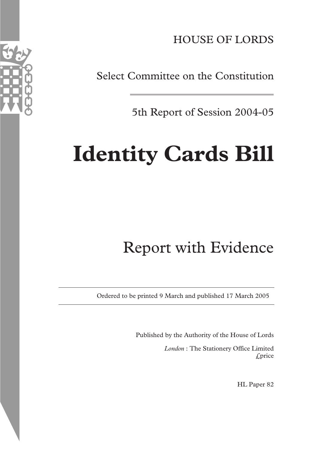HOUSE OF LORDS

Select Committee on the Constitution

5th Report of Session 2004-05

# **Identity Cards Bill**

## Report with Evidence

Ordered to be printed 9 March and published 17 March 2005

Published by the Authority of the House of Lords

*London* : The Stationery Office Limited £price

HL Paper 82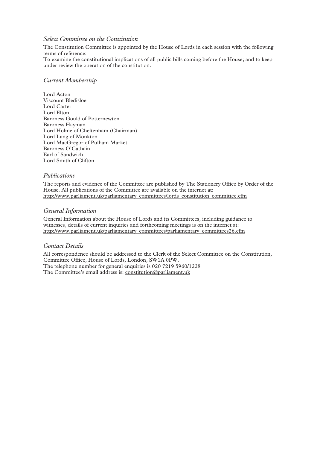#### *Select Committee on the Constitution*

The Constitution Committee is appointed by the House of Lords in each session with the following terms of reference:

To examine the constitutional implications of all public bills coming before the House; and to keep under review the operation of the constitution.

#### *Current Membership*

Lord Acton Viscount Bledisloe Lord Carter Lord Elton Baroness Gould of Potternewton Baroness Hayman Lord Holme of Cheltenham (Chairman) Lord Lang of Monkton Lord MacGregor of Pulham Market Baroness O'Cathain Earl of Sandwich Lord Smith of Clifton

#### *Publications*

The reports and evidence of the Committee are published by The Stationery Office by Order of the House. All publications of the Committee are available on the internet at: http://www.parliament.uk/parliamentary\_committees/lords\_constitution\_committee.cfm

#### *General Information*

General Information about the House of Lords and its Committees, including guidance to witnesses, details of current inquiries and forthcoming meetings is on the internet at: http://www.parliament.uk/parliamentary\_committees/parliamentary\_committees26.cfm

#### *Contact Details*

All correspondence should be addressed to the Clerk of the Select Committee on the Constitution, Committee Office, House of Lords, London, SW1A 0PW. The telephone number for general enquiries is 020 7219 5960/1228 The Committee's email address is: constitution@parliament.uk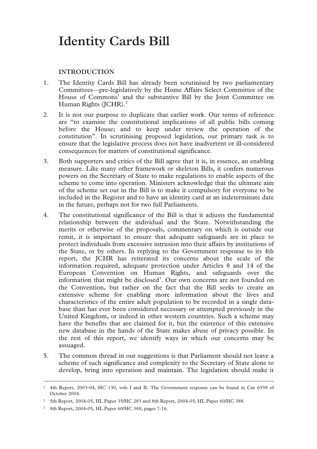### **Identity Cards Bill**

#### **INTRODUCTION**

- 1. The Identity Cards Bill has already been scrutinised by two parliamentary Committees—pre-legislatively by the Home Affairs Select Committee of the House of Commons<sup>1</sup> and the substantive Bill by the Joint Committee on Human Rights (JCHR).<sup>2</sup>
- 2. It is not our purpose to duplicate that earlier work. Our terms of reference are "to examine the constitutional implications of all public bills coming before the House; and to keep under review the operation of the constitution". In scrutinising proposed legislation, our primary task is to ensure that the legislative process does not have inadvertent or ill-considered consequences for matters of constitutional significance.
- 3. Both supporters and critics of the Bill agree that it is, in essence, an enabling measure. Like many other framework or skeleton Bills, it confers numerous powers on the Secretary of State to make regulations to enable aspects of the scheme to come into operation. Ministers acknowledge that the ultimate aim of the scheme set out in the Bill is to make it compulsory for everyone to be included in the Register and to have an identity card at an indeterminate date in the future, perhaps not for two full Parliaments.
- 4. The constitutional significance of the Bill is that it adjusts the fundamental relationship between the individual and the State. Notwithstanding the merits or otherwise of the proposals, commentary on which is outside our remit, it is important to ensure that adequate safeguards are in place to protect individuals from excessive intrusion into their affairs by institutions of the State, or by others. In replying to the Government response to its 4th report, the JCHR has reiterated its concerns about the scale of the information required, adequate protection under Articles 8 and 14 of the European Convention on Human Rights, and safeguards over the information that might be disclosed<sup>3</sup>. Our own concerns are not founded on the Convention, but rather on the fact that the Bill seeks to create an extensive scheme for enabling more information about the lives and characteristics of the entire adult population to be recorded in a single database than has ever been considered necessary or attempted previously in the United Kingdom, or indeed in other western countries. Such a scheme may have the benefits that are claimed for it, but the existence of this extensive new database in the hands of the State makes abuse of privacy possible. In the rest of this report, we identify ways in which our concerns may be assuaged.
- 5. The common thread in our suggestions is that Parliament should not leave a scheme of such significance and complexity to the Secretary of State alone to develop, bring into operation and maintain. The legislation should make it

 <sup>1 4</sup>th Report, 2003-04, HC 130, vols I and II. The Government response can be found in Cm 6359 of October 2004.

<sup>2 5</sup>th Report, 2004-05, HL Paper 35/HC 283 and 8th Report, 2004-05, HL Paper 60/HC 388.

<sup>3 8</sup>th Report, 2004-05, HL Paper 60/HC 388, pages 7-16.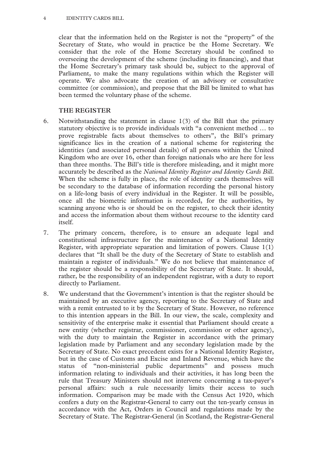clear that the information held on the Register is not the "property" of the Secretary of State, who would in practice be the Home Secretary. We consider that the role of the Home Secretary should be confined to overseeing the development of the scheme (including its financing), and that the Home Secretary's primary task should be, subject to the approval of Parliament, to make the many regulations within which the Register will operate. We also advocate the creation of an advisory or consultative committee (or commission), and propose that the Bill be limited to what has been termed the voluntary phase of the scheme.

#### **THE REGISTER**

- 6. Notwithstanding the statement in clause 1(3) of the Bill that the primary statutory objective is to provide individuals with "a convenient method … to prove registrable facts about themselves to others", the Bill's primary significance lies in the creation of a national scheme for registering the identities (and associated personal details) of all persons within the United Kingdom who are over 16, other than foreign nationals who are here for less than three months. The Bill's title is therefore misleading, and it might more accurately be described as the *National Identity Register and Identity Cards Bill*. When the scheme is fully in place, the role of identity cards themselves will be secondary to the database of information recording the personal history on a life-long basis of every individual in the Register. It will be possible, once all the biometric information is recorded, for the authorities, by scanning anyone who is or should be on the register, to check their identity and access the information about them without recourse to the identity card itself.
- 7. The primary concern, therefore, is to ensure an adequate legal and constitutional infrastructure for the maintenance of a National Identity Register, with appropriate separation and limitation of powers. Clause 1(1) declares that "It shall be the duty of the Secretary of State to establish and maintain a register of individuals." We do not believe that maintenance of the register should be a responsibility of the Secretary of State. It should, rather, be the responsibility of an independent registrar, with a duty to report directly to Parliament.
- 8. We understand that the Government's intention is that the register should be maintained by an executive agency, reporting to the Secretary of State and with a remit entrusted to it by the Secretary of State. However, no reference to this intention appears in the Bill. In our view, the scale, complexity and sensitivity of the enterprise make it essential that Parliament should create a new entity (whether registrar, commissioner, commission or other agency), with the duty to maintain the Register in accordance with the primary legislation made by Parliament and any secondary legislation made by the Secretary of State. No exact precedent exists for a National Identity Register, but in the case of Customs and Excise and Inland Revenue, which have the status of "non-ministerial public departments" and possess much information relating to individuals and their activities, it has long been the rule that Treasury Ministers should not intervene concerning a tax-payer's personal affairs: such a rule necessarily limits their access to such information. Comparison may be made with the Census Act 1920, which confers a duty on the Registrar-General to carry out the ten-yearly census in accordance with the Act, Orders in Council and regulations made by the Secretary of State. The Registrar-General (in Scotland, the Registrar-General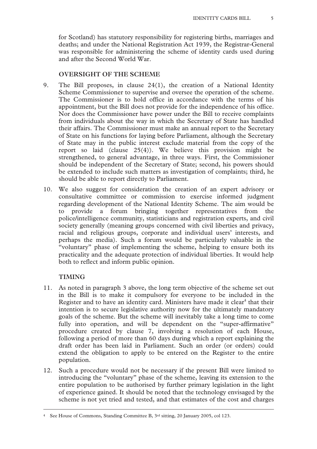for Scotland) has statutory responsibility for registering births, marriages and deaths; and under the National Registration Act 1939, the Registrar-General was responsible for administering the scheme of identity cards used during and after the Second World War.

#### **OVERSIGHT OF THE SCHEME**

- 9. The Bill proposes, in clause 24(1), the creation of a National Identity Scheme Commissioner to supervise and oversee the operation of the scheme. The Commissioner is to hold office in accordance with the terms of his appointment, but the Bill does not provide for the independence of his office. Nor does the Commissioner have power under the Bill to receive complaints from individuals about the way in which the Secretary of State has handled their affairs. The Commissioner must make an annual report to the Secretary of State on his functions for laying before Parliament, although the Secretary of State may in the public interest exclude material from the copy of the report so laid (clause 25(4)). We believe this provision might be strengthened, to general advantage, in three ways. First, the Commissioner should be independent of the Secretary of State; second, his powers should be extended to include such matters as investigation of complaints; third, he should be able to report directly to Parliament.
- 10. We also suggest for consideration the creation of an expert advisory or consultative committee or commission to exercise informed judgment regarding development of the National Identity Scheme. The aim would be to provide a forum bringing together representatives from the police/intelligence community, statisticians and registration experts, and civil society generally (meaning groups concerned with civil liberties and privacy, racial and religious groups, corporate and individual users' interests, and perhaps the media). Such a forum would be particularly valuable in the "voluntary" phase of implementing the scheme, helping to ensure both its practicality and the adequate protection of individual liberties. It would help both to reflect and inform public opinion.

#### **TIMING**

- 11. As noted in paragraph 3 above, the long term objective of the scheme set out in the Bill is to make it compulsory for everyone to be included in the Register and to have an identity card. Ministers have made it clear $<sup>4</sup>$  that their</sup> intention is to secure legislative authority now for the ultimately mandatory goals of the scheme. But the scheme will inevitably take a long time to come fully into operation, and will be dependent on the "super-affirmative" procedure created by clause 7, involving a resolution of each House, following a period of more than 60 days during which a report explaining the draft order has been laid in Parliament. Such an order (or orders) could extend the obligation to apply to be entered on the Register to the entire population.
- 12. Such a procedure would not be necessary if the present Bill were limited to introducing the "voluntary" phase of the scheme, leaving its extension to the entire population to be authorised by further primary legislation in the light of experience gained. It should be noted that the technology envisaged by the scheme is not yet tried and tested, and that estimates of the cost and charges

 <sup>4</sup> See House of Commons, Standing Committee B, 3rd sitting, 20 January 2005, col 123.